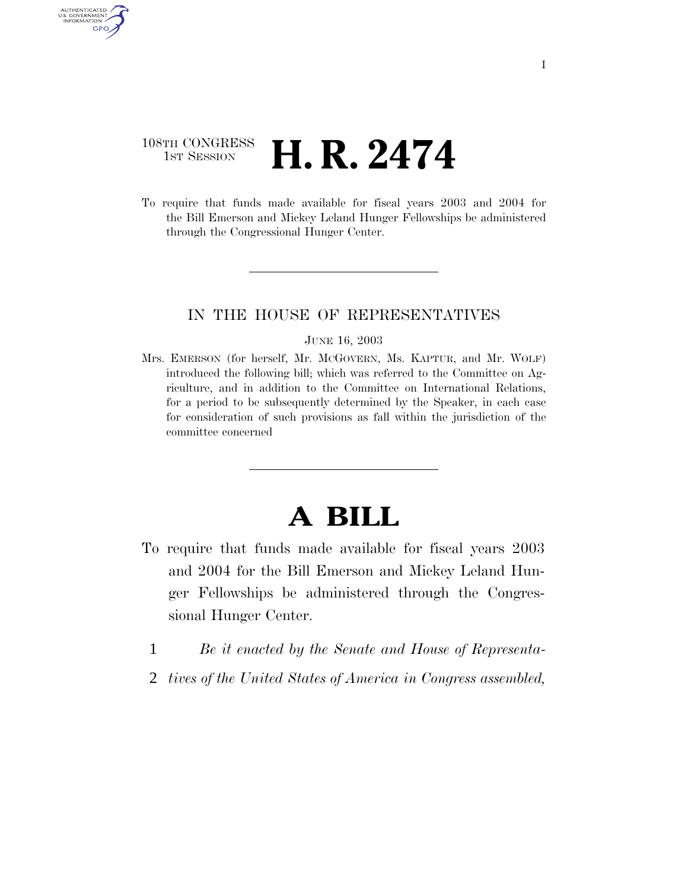### 108TH CONGRESS <sup>TH CONGRESS</sup> **H. R. 2474**

AUTHENTICATED U.S. GOVERNMENT GPO

> To require that funds made available for fiscal years 2003 and 2004 for the Bill Emerson and Mickey Leland Hunger Fellowships be administered through the Congressional Hunger Center.

### IN THE HOUSE OF REPRESENTATIVES

#### JUNE 16, 2003

Mrs. EMERSON (for herself, Mr. MCGOVERN, Ms. KAPTUR, and Mr. WOLF) introduced the following bill; which was referred to the Committee on Agriculture, and in addition to the Committee on International Relations, for a period to be subsequently determined by the Speaker, in each case for consideration of such provisions as fall within the jurisdiction of the committee concerned

# **A BILL**

- To require that funds made available for fiscal years 2003 and 2004 for the Bill Emerson and Mickey Leland Hunger Fellowships be administered through the Congressional Hunger Center.
	- 1 *Be it enacted by the Senate and House of Representa-*
- 2 *tives of the United States of America in Congress assembled,*